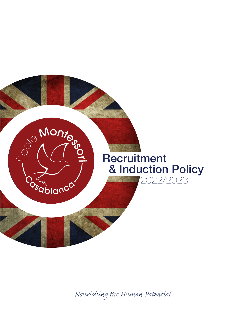

*Nourishing the Human Pential*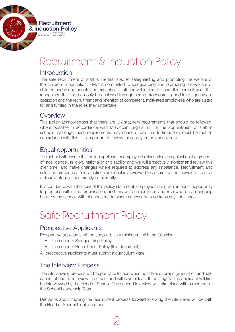

# Recruitment & Induction Policy

### Introduction

The safe recruitment of staff is the first step to safeguarding and promoting the welfare of the children in education. EMC is committed to safeguarding and promoting the welfare of children and young people and expects all staff and volunteers to share this commitment. It is recognised that this can only be achieved through sound procedures, good inter-agency cooperation and the recruitment and retention of competent, motivated employees who are suited to, and fulfilled in the roles they undertake.

### **Overview**

This policy acknowledges that there are UK statutory requirements that should be followed, where possible in accordance with Moroccan Legislation, for the appointment of staff in schools. Although these requirements may change from time-to-time, they must be met. In accordance with this, it is important to review this policy on an annual basis.

# Equal opportunities

The school will ensure that no job applicant or employee is discriminated against on the grounds of race, gender, religion, nationality or disability and we will proactively monitor and review this over time, and make changes where required to address any imbalance. Recruitment and selection procedures and practices are regularly reviewed to ensure that no individual is put at a disadvantage either directly or indirectly.

In accordance with the spirit of this policy statement, employees are given an equal opportunity to progress within the organisation, and this will be monitored and reviewed on an ongoing basis by the school, with changes made where necessary to address any imbalance.

# Safe Recruitment Policy

## Prospective Applicants

Prospective applicants will be supplied, as a minimum, with the following:

- The school's Safeguarding Policy
- The school's Recruitment Policy (this document)

All prospective applicants must submit a curriculum vitae.

## The Interview Process

The interviewing process will happen face to face when possible, or online (when the candidate cannot attend an interview in person) and will have at least three stages. The applicant will first be interviewed by the Head of School. The second interview will take place with a member of the School Leadership Team.

Decisions about moving the recruitment process forward following the interviews will be with the Head of School for all positions.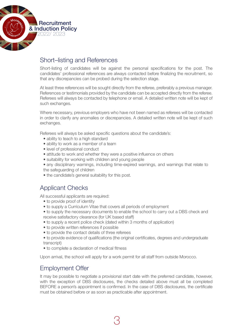

# Short–listing and References

Short-listing of candidates will be against the personal specifications for the post. The candidates' professional references are always contacted before finalizing the recruitment, so that any discrepancies can be probed during the selection stage.

At least three references will be sought directly from the referee, preferably a previous manager. References or testimonials provided by the candidate can be accepted directly from the referee. Referees will always be contacted by telephone or email. A detailed written note will be kept of such exchanges.

Where necessary, previous employers who have not been named as referees will be contacted in order to clarify any anomalies or discrepancies. A detailed written note will be kept of such exchanges.

Referees will always be asked specific questions about the candidate's:

- ability to teach to a high standard
- ability to work as a member of a team
- level of professional conduct
- attitude to work and whether they were a positive influence on others
- suitability for working with children and young people

• any disciplinary warnings, including time-expired warnings, and warnings that relate to the safeguarding of children

• the candidate's general suitability for this post.

# Applicant Checks

All successful applicants are required:

- to provide proof of identity
- to supply a Curriculum Vitae that covers all periods of employment
- to supply the necessary documents to enable the school to carry out a DBS check and receive satisfactory clearance (for UK based staff)
- to supply a recent police check (dated within 3 months of application)
- to provide written references if possible
- to provide the contact details of three referees
- to provide evidence of qualifications (the original certificates, degrees and undergraduate transcript)
- to complete a declaration of medical fitness

Upon arrival, the school will apply for a work permit for all staff from outside Morocco.

# Employment Offer

It may be possible to negotiate a provisional start date with the preferred candidate, however, with the exception of DBS disclosures, the checks detailed above must all be completed BEFORE a person's appointment is confirmed. In the case of DBS disclosures, the certificate must be obtained before or as soon as practicable after appointment.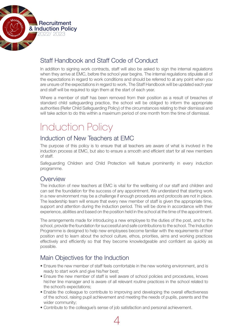

# Staff Handbook and Staff Code of Conduct

In addition to signing work contracts, staff will also be asked to sign the internal regulations when they arrive at EMC, before the school year begins. The internal regulations stipulate all of the expectations in regard to work conditions and should be referred to at any point when you are unsure of the expectations in regard to work. The Staff Handbook will be updated each year and staff will be required to sign them at the start of each year.

Where a member of staff has been removed from their position as a result of breaches of standard child safeguarding practice, the school will be obliged to inform the appropriate authorities (Refer Child Safeguarding Policy) of the circumstances relating to their dismissal and will take action to do this within a maximum period of one month from the time of dismissal.

# Induction Policy

# Induction of New Teachers at EMC

The purpose of this policy is to ensure that all teachers are aware of what is involved in the induction process at EMC, but also to ensure a smooth and efficient start for all new members of staff.

Safeguarding Children and Child Protection will feature prominently in every induction programme.

## **Overview**

The induction of new teachers at EMC is vital for the wellbeing of our staff and children and can set the foundation for the success of any appointment. We understand that starting work in a new environment may be a challenge if enough procedures and protocols are not in place. The leadership team will ensure that every new member of staff is given the appropriate time, support and attention during the induction period. This will be done in accordance with their experience, abilities and based on the position held in the school at the time of the appointment.

The arrangements made for introducing a new employee to the duties of the post, and to the school, provide the foundation for successful and safe contributions to the school. The Induction Programme is designed to help new employees become familiar with the requirements of their position and to learn about the school culture, ethos, priorities, aims and working practices effectively and efficiently so that they become knowledgeable and confident as quickly as possible.

# Main Objectives for the Induction

- Ensure the new member of staff feels comfortable in the new working environment, and is ready to start work and give his/her best;
- Ensure the new member of staff is well aware of school policies and procedures, knows his\her line manager and is aware of all relevant routine practices in the school related to the school's expectations;
- Enable the colleague to contribute to improving and developing the overall effectiveness of the school, raising pupil achievement and meeting the needs of pupils, parents and the wider community;
- • Contribute to the colleague's sense of job satisfaction and personal achievement.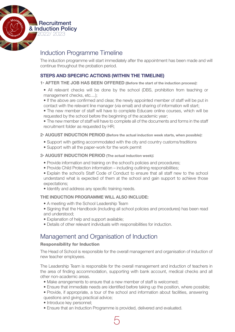

# Induction Programme Timeline

The induction programme will start immediately after the appointment has been made and will continue throughout the probation period.

### **STEPS AND SPECIFIC ACTIONS (WITHIN THE TIMELINE)**

**1• AFTER THE JOB HAS BEEN OFFERED (Before the start of the induction process):**

- All relevant checks will be done by the school (DBS, prohibition from teaching or management checks, etc....);
- If the above are confirmed and clear, the newly appointed member of staff will be put in contact with the relevant line manager (via email) and sharing of information will start;
- The new member of staff will have to complete Educare online courses, which will be requested by the school before the beginning of the academic year;

• The new member of staff will have to complete all of the documents and forms in the staff recruitment folder as requested by HR;

**2• AUGUST INDUCTION PERIOD (Before the actual induction week starts, when possible):** 

- Support with getting accommodated with the city and country customs/traditions
- Support with all the paper-work for the work permit

#### **3• AUGUST INDUCTION PERIOD (The actual induction week):**

- Provide information and training on the school's policies and procedures;
- Provide Child Protection information including outlining responsibilities;
- Explain the school's Staff Code of Conduct to ensure that all staff new to the school understand what is expected of them at the school and gain support to achieve those expectations;
- Identify and address any specific training needs.

#### **THE INDUCTION PROGRAMME WILL ALSO INCLUDE:**

- A meeting with the School Leadership Team
- Signing that the Handbook (including all school policies and procedures) has been read and understood;
- Explanation of help and support available;
- Details of other relevant individuals with responsibilities for induction.

## Management and Organisation of Induction

#### Responsibility for Induction

The Head of School is responsible for the overall management and organisation of induction of new teacher employees.

The Leadership Team is responsible for the overall management and induction of teachers in the area of finding accommodation, supporting with bank account, medical checks and all other non-academic areas.

- Make arrangements to ensure that a new member of staff is welcomed;
- Ensure that immediate needs are identified before taking up the position, where possible;
- Provide, if appropriate, a tour of the school and information about facilities, answering questions and giving practical advice;
- Introduce key personnel;
- Ensure that an Induction Programme is provided, delivered and evaluated.

5